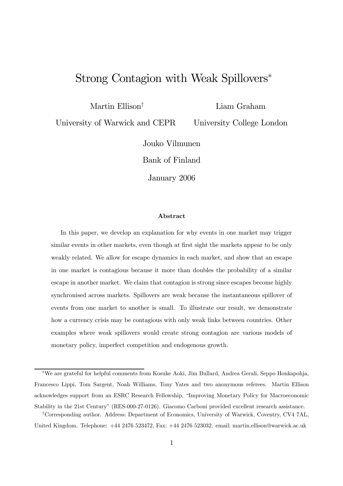# Strong Contagion with Weak Spillovers<sup>∗</sup>

Martin Ellison†

Liam Graham

University of Warwick and CEPR

University College London

Jouko Vilmunen

Bank of Finland

January 2006

#### Abstract

In this paper, we develop an explanation for why events in one market may trigger similar events in other markets, even though at first sight the markets appear to be only weakly related. We allow for escape dynamics in each market, and show that an escape in one market is contagious because it more than doubles the probability of a similar escape in another market. We claim that contagion is strong since escapes become highly synchronised across markets. Spillovers are weak because the instantaneous spillover of events from one market to another is small. To illustrate our result, we demonstrate how a currency crisis may be contagious with only weak links between countries. Other examples where weak spillovers would create strong contagion are various models of monetary policy, imperfect competition and endogenous growth.

<sup>∗</sup>We are grateful for helpful comments from Kosuke Aoki, Jim Bullard, Andrea Gerali, Seppo Honkapohja, Francesco Lippi, Tom Sargent, Noah Williams, Tony Yates and two anonymous referees. Martin Ellison acknowledges support from an ESRC Research Fellowship, "Improving Monetary Policy for Macroeconomic Stability in the 21st Century" (RES-000-27-0126). Giacomo Carboni provided excellent research assistance.

<sup>†</sup>Corresponding author. Address: Department of Economics, University of Warwick, Coventry, CV4 7AL, United Kingdom. Telephone: +44 2476 523472, Fax: +44 2476 523032. email: martin.ellison@warwick.ac.uk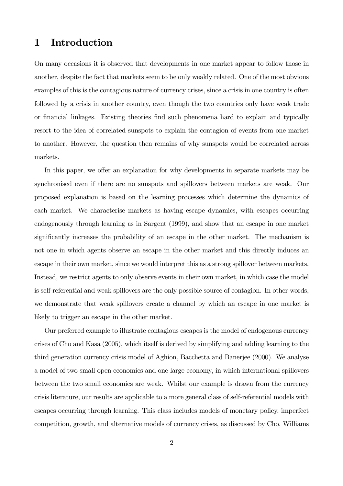# 1 Introduction

On many occasions it is observed that developments in one market appear to follow those in another, despite the fact that markets seem to be only weakly related. One of the most obvious examples of this is the contagious nature of currency crises, since a crisis in one country is often followed by a crisis in another country, even though the two countries only have weak trade or financial linkages. Existing theories find such phenomena hard to explain and typically resort to the idea of correlated sunspots to explain the contagion of events from one market to another. However, the question then remains of why sunspots would be correlated across markets.

In this paper, we offer an explanation for why developments in separate markets may be synchronised even if there are no sunspots and spillovers between markets are weak. Our proposed explanation is based on the learning processes which determine the dynamics of each market. We characterise markets as having escape dynamics, with escapes occurring endogenously through learning as in Sargent (1999), and show that an escape in one market significantly increases the probability of an escape in the other market. The mechanism is not one in which agents observe an escape in the other market and this directly induces an escape in their own market, since we would interpret this as a strong spillover between markets. Instead, we restrict agents to only observe events in their own market, in which case the model is self-referential and weak spillovers are the only possible source of contagion. In other words, we demonstrate that weak spillovers create a channel by which an escape in one market is likely to trigger an escape in the other market.

Our preferred example to illustrate contagious escapes is the model of endogenous currency crises of Cho and Kasa (2005), which itself is derived by simplifying and adding learning to the third generation currency crisis model of Aghion, Bacchetta and Banerjee (2000). We analyse a model of two small open economies and one large economy, in which international spillovers between the two small economies are weak. Whilst our example is drawn from the currency crisis literature, our results are applicable to a more general class of self-referential models with escapes occurring through learning. This class includes models of monetary policy, imperfect competition, growth, and alternative models of currency crises, as discussed by Cho, Williams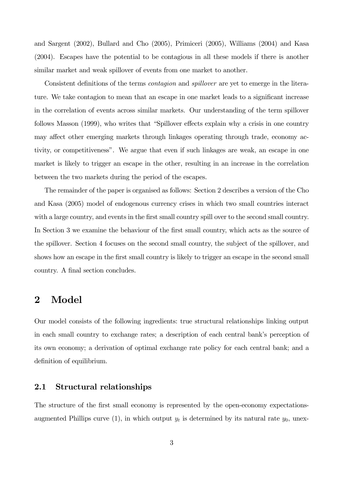and Sargent (2002), Bullard and Cho (2005), Primiceri (2005), Williams (2004) and Kasa (2004). Escapes have the potential to be contagious in all these models if there is another similar market and weak spillover of events from one market to another.

Consistent definitions of the terms contagion and spillover are yet to emerge in the literature. We take contagion to mean that an escape in one market leads to a significant increase in the correlation of events across similar markets. Our understanding of the term spillover follows Masson (1999), who writes that "Spillover effects explain why a crisis in one country may affect other emerging markets through linkages operating through trade, economy activity, or competitiveness". We argue that even if such linkages are weak, an escape in one market is likely to trigger an escape in the other, resulting in an increase in the correlation between the two markets during the period of the escapes.

The remainder of the paper is organised as follows: Section 2 describes a version of the Cho and Kasa (2005) model of endogenous currency crises in which two small countries interact with a large country, and events in the first small country spill over to the second small country. In Section 3 we examine the behaviour of the first small country, which acts as the source of the spillover. Section 4 focuses on the second small country, the subject of the spillover, and shows how an escape in the first small country is likely to trigger an escape in the second small country. A final section concludes.

## 2 Model

Our model consists of the following ingredients: true structural relationships linking output in each small country to exchange rates; a description of each central bank's perception of its own economy; a derivation of optimal exchange rate policy for each central bank; and a definition of equilibrium.

#### 2.1 Structural relationships

The structure of the first small economy is represented by the open-economy expectationsaugmented Phillips curve (1), in which output  $y_t$  is determined by its natural rate  $y_0$ , unex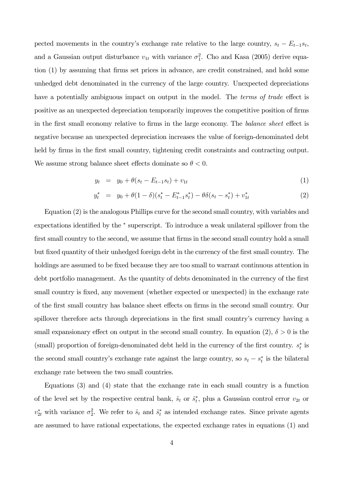pected movements in the country's exchange rate relative to the large country,  $s_t - E_{t-1}s_t$ , and a Gaussian output disturbance  $v_{1t}$  with variance  $\sigma_1^2$ . Cho and Kasa (2005) derive equation (1) by assuming that firms set prices in advance, are credit constrained, and hold some unhedged debt denominated in the currency of the large country. Unexpected depreciations have a potentially ambiguous impact on output in the model. The *terms of trade* effect is positive as an unexpected depreciation temporarily improves the competitive position of firms in the first small economy relative to firms in the large economy. The balance sheet effect is negative because an unexpected depreciation increases the value of foreign-denominated debt held by firms in the first small country, tightening credit constraints and contracting output. We assume strong balance sheet effects dominate so  $\theta < 0$ .

$$
y_t = y_0 + \theta(s_t - E_{t-1}s_t) + v_{1t} \tag{1}
$$

$$
y_t^* = y_0 + \theta (1 - \delta)(s_t^* - E_{t-1}^* s_t^*) - \theta \delta(s_t - s_t^*) + v_{1t}^* \tag{2}
$$

Equation (2) is the analogous Phillips curve for the second small country, with variables and expectations identified by the  $*$  superscript. To introduce a weak unilateral spillover from the first small country to the second, we assume that firms in the second small country hold a small but fixed quantity of their unhedged foreign debt in the currency of the first small country. The holdings are assumed to be fixed because they are too small to warrant continuous attention in debt portfolio management. As the quantity of debts denominated in the currency of the first small country is fixed, any movement (whether expected or unexpected) in the exchange rate of the first small country has balance sheet effects on firms in the second small country. Our spillover therefore acts through depreciations in the first small country's currency having a small expansionary effect on output in the second small country. In equation (2),  $\delta > 0$  is the (small) proportion of foreign-denominated debt held in the currency of the first country.  $s_t^*$  is the second small country's exchange rate against the large country, so  $s_t - s_t^*$  is the bilateral exchange rate between the two small countries.

Equations (3) and (4) state that the exchange rate in each small country is a function of the level set by the respective central bank,  $\hat{s}_t$  or  $\hat{s}_t^*$ , plus a Gaussian control error  $v_{2t}$  or  $v_{2t}^*$  with variance  $\sigma_2^2$ . We refer to  $\hat{s}_t$  and  $\hat{s}_t^*$  as intended exchange rates. Since private agents are assumed to have rational expectations, the expected exchange rates in equations (1) and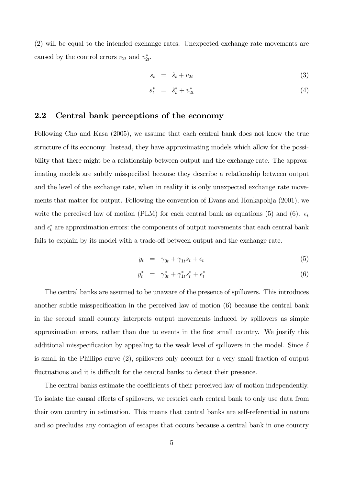(2) will be equal to the intended exchange rates. Unexpected exchange rate movements are caused by the control errors  $v_{2t}$  and  $v_{2t}^*$ .

$$
s_t = \hat{s}_t + v_{2t} \tag{3}
$$

$$
s_t^* = \hat{s}_t^* + v_{2t}^* \tag{4}
$$

#### 2.2 Central bank perceptions of the economy

Following Cho and Kasa (2005), we assume that each central bank does not know the true structure of its economy. Instead, they have approximating models which allow for the possibility that there might be a relationship between output and the exchange rate. The approximating models are subtly misspecified because they describe a relationship between output and the level of the exchange rate, when in reality it is only unexpected exchange rate movements that matter for output. Following the convention of Evans and Honkapohja (2001), we write the perceived law of motion (PLM) for each central bank as equations (5) and (6).  $\epsilon_t$ and  $\epsilon_t^*$  are approximation errors: the components of output movements that each central bank fails to explain by its model with a trade-off between output and the exchange rate.

$$
y_t = \gamma_{0t} + \gamma_{1t} s_t + \epsilon_t \tag{5}
$$

$$
y_t^* = \gamma_{0t}^* + \gamma_{1t}^* s_t^* + \epsilon_t^* \tag{6}
$$

The central banks are assumed to be unaware of the presence of spillovers. This introduces another subtle misspecification in the perceived law of motion (6) because the central bank in the second small country interprets output movements induced by spillovers as simple approximation errors, rather than due to events in the first small country. We justify this additional misspecification by appealing to the weak level of spillovers in the model. Since  $\delta$ is small in the Phillips curve (2), spillovers only account for a very small fraction of output fluctuations and it is difficult for the central banks to detect their presence.

The central banks estimate the coefficients of their perceived law of motion independently. To isolate the causal effects of spillovers, we restrict each central bank to only use data from their own country in estimation. This means that central banks are self-referential in nature and so precludes any contagion of escapes that occurs because a central bank in one country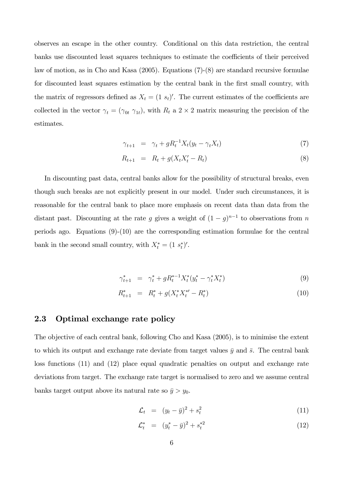observes an escape in the other country. Conditional on this data restriction, the central banks use discounted least squares techniques to estimate the coefficients of their perceived law of motion, as in Cho and Kasa (2005). Equations (7)-(8) are standard recursive formulae for discounted least squares estimation by the central bank in the first small country, with the matrix of regressors defined as  $X_t = (1 s_t)'$ . The current estimates of the coefficients are collected in the vector  $\gamma_t = (\gamma_{0t} \gamma_{1t})$ , with  $R_t$  a 2 × 2 matrix measuring the precision of the estimates.

$$
\gamma_{t+1} = \gamma_t + g R_t^{-1} X_t (y_t - \gamma_t X_t) \tag{7}
$$

$$
R_{t+1} = R_t + g(X_t X_t' - R_t)
$$
\n(8)

In discounting past data, central banks allow for the possibility of structural breaks, even though such breaks are not explicitly present in our model. Under such circumstances, it is reasonable for the central bank to place more emphasis on recent data than data from the distant past. Discounting at the rate g gives a weight of  $(1 - g)^{n-1}$  to observations from n periods ago. Equations (9)-(10) are the corresponding estimation formulae for the central bank in the second small country, with  $X_t^* = (1 \ s_t^*)'$ .

$$
\gamma_{t+1}^* = \gamma_t^* + g R_t^{*-1} X_t^* (y_t^* - \gamma_t^* X_t^*)
$$
\n(9)

$$
R_{t+1}^* = R_t^* + g(X_t^* X_t^{*} - R_t^*)
$$
\n<sup>(10)</sup>

#### 2.3 Optimal exchange rate policy

The objective of each central bank, following Cho and Kasa (2005), is to minimise the extent to which its output and exchange rate deviate from target values  $\bar{y}$  and  $\bar{s}$ . The central bank loss functions (11) and (12) place equal quadratic penalties on output and exchange rate deviations from target. The exchange rate target is normalised to zero and we assume central banks target output above its natural rate so  $\bar{y} > y_0$ .

$$
\mathcal{L}_t = (y_t - \bar{y})^2 + s_t^2 \tag{11}
$$

$$
\mathcal{L}_t^* = (y_t^* - \bar{y})^2 + s_t^{*2} \tag{12}
$$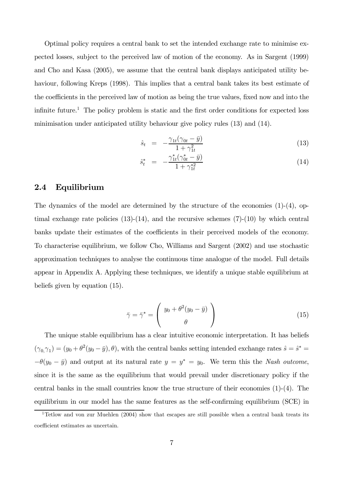Optimal policy requires a central bank to set the intended exchange rate to minimise expected losses, subject to the perceived law of motion of the economy. As in Sargent (1999) and Cho and Kasa (2005), we assume that the central bank displays anticipated utility behaviour, following Kreps (1998). This implies that a central bank takes its best estimate of the coefficients in the perceived law of motion as being the true values, fixed now and into the infinite future.<sup>1</sup> The policy problem is static and the first order conditions for expected loss minimisation under anticipated utility behaviour give policy rules (13) and (14).

$$
\hat{s}_t = -\frac{\gamma_{1t}(\gamma_{0t} - \bar{y})}{1 + \gamma_{1t}^2} \tag{13}
$$

$$
\hat{s}_t^* = -\frac{\gamma_{1t}^*(\gamma_{0t}^* - \bar{y})}{1 + \gamma_{1t}^{*2}} \tag{14}
$$

#### 2.4 Equilibrium

The dynamics of the model are determined by the structure of the economies (1)-(4), optimal exchange rate policies  $(13)-(14)$ , and the recursive schemes  $(7)-(10)$  by which central banks update their estimates of the coefficients in their perceived models of the economy. To characterise equilibrium, we follow Cho, Williams and Sargent (2002) and use stochastic approximation techniques to analyse the continuous time analogue of the model. Full details appear in Appendix A. Applying these techniques, we identify a unique stable equilibrium at beliefs given by equation (15).

$$
\bar{\gamma} = \bar{\gamma}^* = \begin{pmatrix} y_0 + \theta^2 (y_0 - \bar{y}) \\ \theta \end{pmatrix}
$$
 (15)

The unique stable equilibrium has a clear intuitive economic interpretation. It has beliefs  $(\gamma_{0}, \gamma_{1}) = (y_{0} + \theta^{2}(y_{0} - \bar{y}), \theta)$ , with the central banks setting intended exchange rates  $\hat{s} = \hat{s}^{*} =$  $-\theta(y_0 - \bar{y})$  and output at its natural rate  $y = y^* = y_0$ . We term this the Nash outcome, since it is the same as the equilibrium that would prevail under discretionary policy if the central banks in the small countries know the true structure of their economies (1)-(4). The equilibrium in our model has the same features as the self-confirming equilibrium (SCE) in

<sup>&</sup>lt;sup>1</sup>Tetlow and von zur Muehlen  $(2004)$  show that escapes are still possible when a central bank treats its coefficient estimates as uncertain.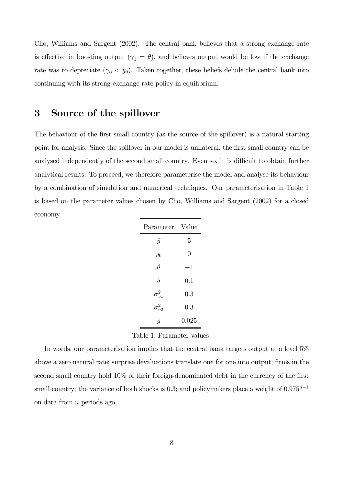Cho, Williams and Sargent (2002). The central bank believes that a strong exchange rate is effective in boosting output ( $\gamma_1 = \theta$ ), and believes output would be low if the exchange rate was to depreciate  $(\gamma_0 \langle y_0 \rangle)$ . Taken together, these beliefs delude the central bank into continuing with its strong exchange rate policy in equilibrium.

# 3 Source of the spillover

The behaviour of the first small country (as the source of the spillover) is a natural starting point for analysis. Since the spillover in our model is unilateral, the first small country can be analysed independently of the second small country. Even so, it is difficult to obtain further analytical results. To proceed, we therefore parameterise the model and analyse its behaviour by a combination of simulation and numerical techniques. Our parameterisation in Table 1 is based on the parameter values chosen by Cho, Williams and Sargent (2002) for a closed economy.

| Parameter       | Value          |  |
|-----------------|----------------|--|
| $\bar{y}$       | 5              |  |
| $y_0$           | $\overline{0}$ |  |
| $\theta$        | $^{\rm -1}$    |  |
| $\delta$        | 0.1            |  |
| $\sigma_{v1}^2$ | 0.3            |  |
| $\sigma_{v2}^2$ | 0.3            |  |
| g               | 0.025          |  |

Table 1: Parameter values

In words, our parameterisation implies that the central bank targets output at a level 5% above a zero natural rate; surprise devaluations translate one for one into output; firms in the second small country hold 10% of their foreign-denominated debt in the currency of the first small country; the variance of both shocks is 0.3; and policymakers place a weight of  $0.975^{n-1}$ on data from n periods ago.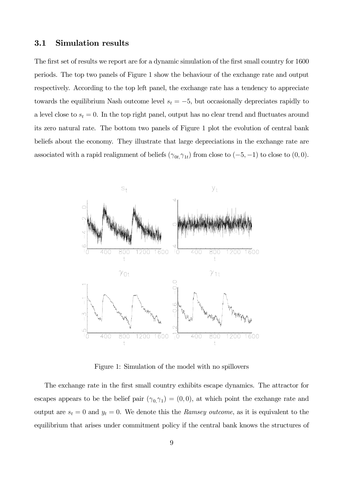#### 3.1 Simulation results

The first set of results we report are for a dynamic simulation of the first small country for 1600 periods. The top two panels of Figure 1 show the behaviour of the exchange rate and output respectively. According to the top left panel, the exchange rate has a tendency to appreciate towards the equilibrium Nash outcome level  $s_t = -5$ , but occasionally depreciates rapidly to a level close to  $s_t = 0$ . In the top right panel, output has no clear trend and fluctuates around its zero natural rate. The bottom two panels of Figure 1 plot the evolution of central bank beliefs about the economy. They illustrate that large depreciations in the exchange rate are associated with a rapid realignment of beliefs ( $\gamma_{0t, \gamma_{1t}}$ ) from close to (−5, −1) to close to (0, 0).



Figure 1: Simulation of the model with no spillovers

The exchange rate in the first small country exhibits escape dynamics. The attractor for escapes appears to be the belief pair  $(\gamma_0, \gamma_1) = (0, 0)$ , at which point the exchange rate and output are  $s_t = 0$  and  $y_t = 0$ . We denote this the Ramsey outcome, as it is equivalent to the equilibrium that arises under commitment policy if the central bank knows the structures of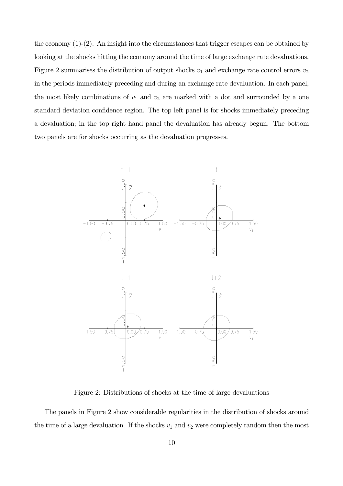the economy (1)-(2). An insight into the circumstances that trigger escapes can be obtained by looking at the shocks hitting the economy around the time of large exchange rate devaluations. Figure 2 summarises the distribution of output shocks  $v_1$  and exchange rate control errors  $v_2$ in the periods immediately preceding and during an exchange rate devaluation. In each panel, the most likely combinations of  $v_1$  and  $v_2$  are marked with a dot and surrounded by a one standard deviation confidence region. The top left panel is for shocks immediately preceding a devaluation; in the top right hand panel the devaluation has already begun. The bottom two panels are for shocks occurring as the devaluation progresses.



Figure 2: Distributions of shocks at the time of large devaluations

The panels in Figure 2 show considerable regularities in the distribution of shocks around the time of a large devaluation. If the shocks  $v_1$  and  $v_2$  were completely random then the most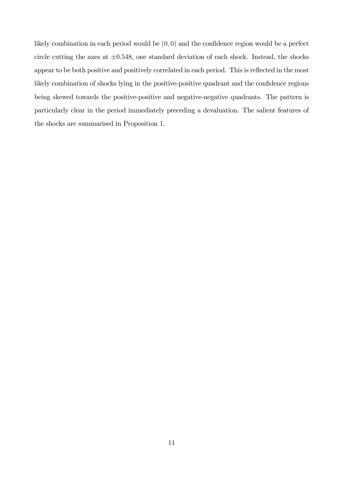likely combination in each period would be  $(0, 0)$  and the confidence region would be a perfect circle cutting the axes at  $\pm 0.548$ , one standard deviation of each shock. Instead, the shocks appear to be both positive and positively correlated in each period. This is reflected in the most likely combination of shocks lying in the positive-positive quadrant and the confidence regions being skewed towards the positive-positive and negative-negative quadrants. The pattern is particularly clear in the period immediately preceding a devaluation. The salient features of the shocks are summarised in Proposition 1.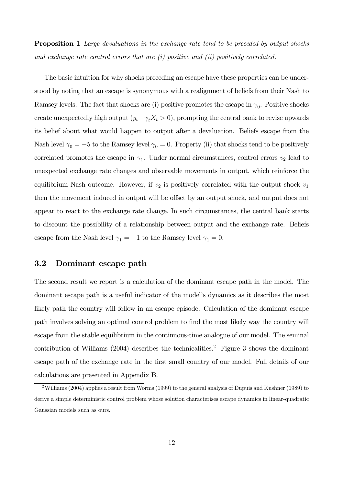**Proposition 1** Large devaluations in the exchange rate tend to be preceded by output shocks and exchange rate control errors that are (i) positive and (ii) positively correlated.

The basic intuition for why shocks preceding an escape have these properties can be understood by noting that an escape is synonymous with a realignment of beliefs from their Nash to Ramsey levels. The fact that shocks are (i) positive promotes the escape in  $\gamma_0$ . Positive shocks create unexpectedly high output  $(y_t - \gamma_t X_t > 0)$ , prompting the central bank to revise upwards its belief about what would happen to output after a devaluation. Beliefs escape from the Nash level  $\gamma_0 = -5$  to the Ramsey level  $\gamma_0 = 0$ . Property (ii) that shocks tend to be positively correlated promotes the escape in  $\gamma_1$ . Under normal circumstances, control errors  $v_2$  lead to unexpected exchange rate changes and observable movements in output, which reinforce the equilibrium Nash outcome. However, if  $v_2$  is positively correlated with the output shock  $v_1$ then the movement induced in output will be offset by an output shock, and output does not appear to react to the exchange rate change. In such circumstances, the central bank starts to discount the possibility of a relationship between output and the exchange rate. Beliefs escape from the Nash level  $\gamma_1 = -1$  to the Ramsey level  $\gamma_1 = 0$ .

### 3.2 Dominant escape path

The second result we report is a calculation of the dominant escape path in the model. The dominant escape path is a useful indicator of the model's dynamics as it describes the most likely path the country will follow in an escape episode. Calculation of the dominant escape path involves solving an optimal control problem to find the most likely way the country will escape from the stable equilibrium in the continuous-time analogue of our model. The seminal contribution of Williams (2004) describes the technicalities.<sup>2</sup> Figure 3 shows the dominant escape path of the exchange rate in the first small country of our model. Full details of our calculations are presented in Appendix B.

<sup>&</sup>lt;sup>2</sup>Williams (2004) applies a result from Worms (1999) to the general analysis of Dupuis and Kushner (1989) to derive a simple deterministic control problem whose solution characterises escape dynamics in linear-quadratic Gaussian models such as ours.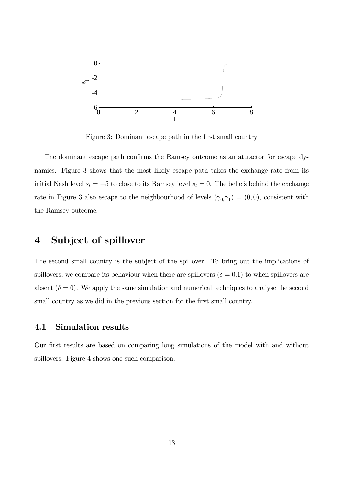

Figure 3: Dominant escape path in the first small country

The dominant escape path confirms the Ramsey outcome as an attractor for escape dynamics. Figure 3 shows that the most likely escape path takes the exchange rate from its initial Nash level  $s_t = -5$  to close to its Ramsey level  $s_t = 0$ . The beliefs behind the exchange rate in Figure 3 also escape to the neighbourhood of levels  $(\gamma_{0,}\gamma_{1}) = (0,0)$ , consistent with the Ramsey outcome.

# 4 Subject of spillover

The second small country is the subject of the spillover. To bring out the implications of spillovers, we compare its behaviour when there are spillovers ( $\delta = 0.1$ ) to when spillovers are absent  $(\delta = 0)$ . We apply the same simulation and numerical techniques to analyse the second small country as we did in the previous section for the first small country.

#### 4.1 Simulation results

Our first results are based on comparing long simulations of the model with and without spillovers. Figure 4 shows one such comparison.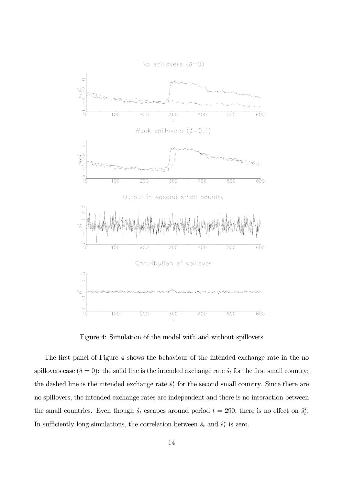

Figure 4: Simulation of the model with and without spillovers

The first panel of Figure 4 shows the behaviour of the intended exchange rate in the no spillovers case ( $\delta = 0$ ): the solid line is the intended exchange rate  $\hat{s}_t$  for the first small country; the dashed line is the intended exchange rate  $\hat{s}_t^*$  for the second small country. Since there are no spillovers, the intended exchange rates are independent and there is no interaction between the small countries. Even though  $\hat{s}_t$  escapes around period  $t = 290$ , there is no effect on  $\hat{s}_t^*$ . In sufficiently long simulations, the correlation between  $\hat{s}_t$  and  $\hat{s}_t^*$  is zero.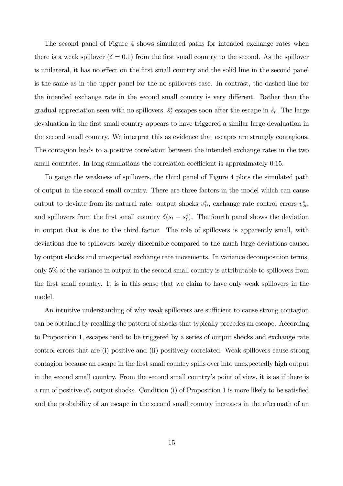The second panel of Figure 4 shows simulated paths for intended exchange rates when there is a weak spillover  $(\delta = 0.1)$  from the first small country to the second. As the spillover is unilateral, it has no effect on the first small country and the solid line in the second panel is the same as in the upper panel for the no spillovers case. In contrast, the dashed line for the intended exchange rate in the second small country is very different. Rather than the gradual appreciation seen with no spillovers,  $\hat{s}_t^*$  escapes soon after the escape in  $\hat{s}_t$ . The large devaluation in the first small country appears to have triggered a similar large devaluation in the second small country. We interpret this as evidence that escapes are strongly contagious. The contagion leads to a positive correlation between the intended exchange rates in the two small countries. In long simulations the correlation coefficient is approximately 0.15.

To gauge the weakness of spillovers, the third panel of Figure 4 plots the simulated path of output in the second small country. There are three factors in the model which can cause output to deviate from its natural rate: output shocks  $v_{1t}^*$ , exchange rate control errors  $v_{2t}^*$ , and spillovers from the first small country  $\delta(s_t - s_t^*)$ . The fourth panel shows the deviation in output that is due to the third factor. The role of spillovers is apparently small, with deviations due to spillovers barely discernible compared to the much large deviations caused by output shocks and unexpected exchange rate movements. In variance decomposition terms, only 5% of the variance in output in the second small country is attributable to spillovers from the first small country. It is in this sense that we claim to have only weak spillovers in the model.

An intuitive understanding of why weak spillovers are sufficient to cause strong contagion can be obtained by recalling the pattern of shocks that typically precedes an escape. According to Proposition 1, escapes tend to be triggered by a series of output shocks and exchange rate control errors that are (i) positive and (ii) positively correlated. Weak spillovers cause strong contagion because an escape in the first small country spills over into unexpectedly high output in the second small country. From the second small country's point of view, it is as if there is a run of positive  $v_{1t}^*$  output shocks. Condition (i) of Proposition 1 is more likely to be satisfied and the probability of an escape in the second small country increases in the aftermath of an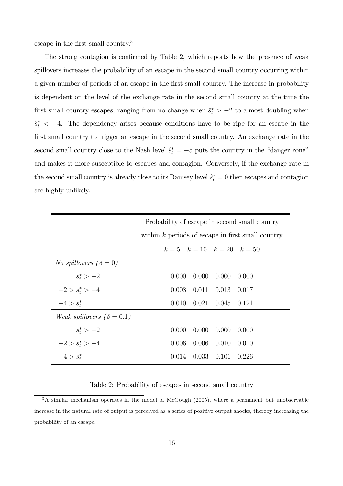escape in the first small country.3

The strong contagion is confirmed by Table 2, which reports how the presence of weak spillovers increases the probability of an escape in the second small country occurring within a given number of periods of an escape in the first small country. The increase in probability is dependent on the level of the exchange rate in the second small country at the time the first small country escapes, ranging from no change when  $\hat{s}_t^*$  > -2 to almost doubling when  $s_t^*$  < -4. The dependency arises because conditions have to be ripe for an escape in the first small country to trigger an escape in the second small country. An exchange rate in the second small country close to the Nash level  $\hat{s}_t^* = -5$  puts the country in the "danger zone" and makes it more susceptible to escapes and contagion. Conversely, if the exchange rate in the second small country is already close to its Ramsey level  $\hat{s}_t^* = 0$  then escapes and contagion are highly unlikely.

|                                           | Probability of escape in second small country       |  |  |  |
|-------------------------------------------|-----------------------------------------------------|--|--|--|
|                                           | within $k$ periods of escape in first small country |  |  |  |
|                                           | $k=5$ $k=10$ $k=20$ $k=50$                          |  |  |  |
| <i>No spillovers</i> $(\delta = 0)$       |                                                     |  |  |  |
| $s_t^* > -2$                              | $0.000 \quad 0.000$<br>0.000<br>0.000               |  |  |  |
| $-2 > s_t^* > -4$                         | $0.008$ $0.011$ $0.013$ $0.017$                     |  |  |  |
| $-4 > s_t^*$                              | $0.010 \quad 0.021 \quad 0.045$<br>0.121            |  |  |  |
| <i>Weak spillovers</i> ( $\delta = 0.1$ ) |                                                     |  |  |  |
| $s_t^* > -2$                              | $0.000 \quad 0.000$<br>0.000<br>0.000               |  |  |  |
| $-2 > s_t^* > -4$                         | $0.006$ 0.010<br>0.006<br>0.010                     |  |  |  |
| $-4 > s_t^*$                              | $0.014$ $0.033$ $0.101$<br>0.226                    |  |  |  |

Table 2: Probability of escapes in second small country

<sup>&</sup>lt;sup>3</sup>A similar mechanism operates in the model of McGough (2005), where a permanent but unobservable increase in the natural rate of output is perceived as a series of positive output shocks, thereby increasing the probability of an escape.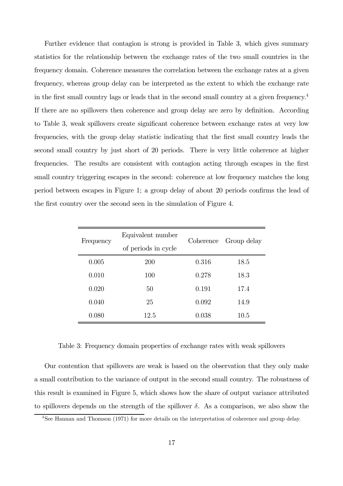Further evidence that contagion is strong is provided in Table 3, which gives summary statistics for the relationship between the exchange rates of the two small countries in the frequency domain. Coherence measures the correlation between the exchange rates at a given frequency, whereas group delay can be interpreted as the extent to which the exchange rate in the first small country lags or leads that in the second small country at a given frequency.4 If there are no spillovers then coherence and group delay are zero by definition. According to Table 3, weak spillovers create significant coherence between exchange rates at very low frequencies, with the group delay statistic indicating that the first small country leads the second small country by just short of 20 periods. There is very little coherence at higher frequencies. The results are consistent with contagion acting through escapes in the first small country triggering escapes in the second: coherence at low frequency matches the long period between escapes in Figure 1; a group delay of about 20 periods confirms the lead of the first country over the second seen in the simulation of Figure 4.

| Frequency | Equivalent number   | Coherence | Group delay |
|-----------|---------------------|-----------|-------------|
|           | of periods in cycle |           |             |
| 0.005     | 200                 | 0.316     | 18.5        |
| 0.010     | 100                 | 0.278     | 18.3        |
| 0.020     | 50                  | 0.191     | 17.4        |
| 0.040     | 25                  | 0.092     | 14.9        |
| 0.080     | 12.5                | 0.038     | 10.5        |

Table 3: Frequency domain properties of exchange rates with weak spillovers

Our contention that spillovers are weak is based on the observation that they only make a small contribution to the variance of output in the second small country. The robustness of this result is examined in Figure 5, which shows how the share of output variance attributed to spillovers depends on the strength of the spillover  $\delta$ . As a comparison, we also show the

<sup>&</sup>lt;sup>4</sup>See Hannan and Thomson (1971) for more details on the interpretation of coherence and group delay.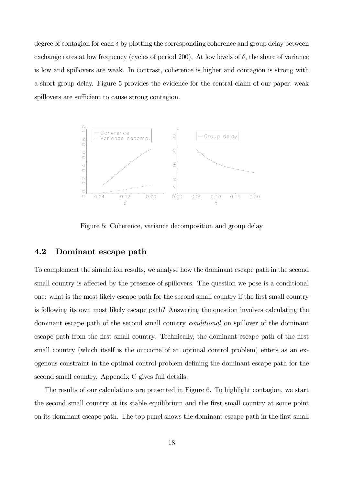degree of contagion for each  $\delta$  by plotting the corresponding coherence and group delay between exchange rates at low frequency (cycles of period 200). At low levels of  $\delta$ , the share of variance is low and spillovers are weak. In contrast, coherence is higher and contagion is strong with a short group delay. Figure 5 provides the evidence for the central claim of our paper: weak spillovers are sufficient to cause strong contagion.



Figure 5: Coherence, variance decomposition and group delay

### 4.2 Dominant escape path

To complement the simulation results, we analyse how the dominant escape path in the second small country is affected by the presence of spillovers. The question we pose is a conditional one: what is the most likely escape path for the second small country if the first small country is following its own most likely escape path? Answering the question involves calculating the dominant escape path of the second small country conditional on spillover of the dominant escape path from the first small country. Technically, the dominant escape path of the first small country (which itself is the outcome of an optimal control problem) enters as an exogenous constraint in the optimal control problem defining the dominant escape path for the second small country. Appendix C gives full details.

The results of our calculations are presented in Figure 6. To highlight contagion, we start the second small country at its stable equilibrium and the first small country at some point on its dominant escape path. The top panel shows the dominant escape path in the first small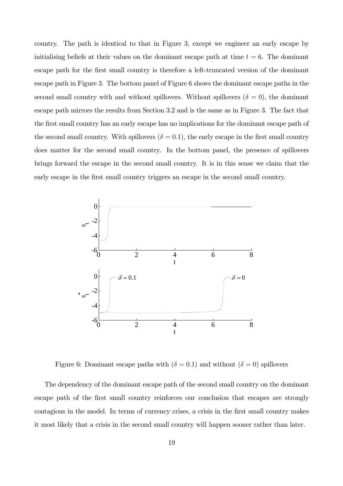country. The path is identical to that in Figure 3, except we engineer an early escape by initialising beliefs at their values on the dominant escape path at time  $t = 6$ . The dominant escape path for the first small country is therefore a left-truncated version of the dominant escape path in Figure 3. The bottom panel of Figure 6 shows the dominant escape paths in the second small country with and without spillovers. Without spillovers ( $\delta = 0$ ), the dominant escape path mirrors the results from Section 3.2 and is the same as in Figure 3. The fact that the first small country has an early escape has no implications for the dominant escape path of the second small country. With spillovers  $(\delta = 0.1)$ , the early escape in the first small country does matter for the second small country. In the bottom panel, the presence of spillovers brings forward the escape in the second small country. It is in this sense we claim that the early escape in the first small country triggers an escape in the second small country.



Figure 6: Dominant escape paths with  $(\delta = 0.1)$  and without  $(\delta = 0)$  spillovers

The dependency of the dominant escape path of the second small country on the dominant escape path of the first small country reinforces our conclusion that escapes are strongly contagious in the model. In terms of currency crises, a crisis in the first small country makes it most likely that a crisis in the second small country will happen sooner rather than later.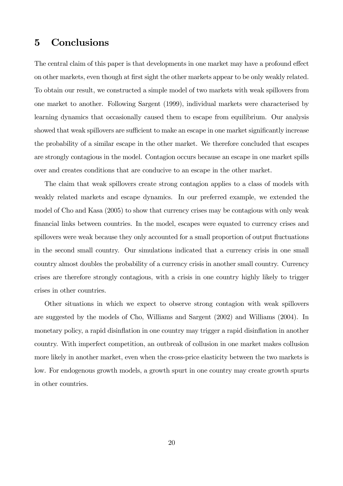## 5 Conclusions

The central claim of this paper is that developments in one market may have a profound effect on other markets, even though at first sight the other markets appear to be only weakly related. To obtain our result, we constructed a simple model of two markets with weak spillovers from one market to another. Following Sargent (1999), individual markets were characterised by learning dynamics that occasionally caused them to escape from equilibrium. Our analysis showed that weak spillovers are sufficient to make an escape in one market significantly increase the probability of a similar escape in the other market. We therefore concluded that escapes are strongly contagious in the model. Contagion occurs because an escape in one market spills over and creates conditions that are conducive to an escape in the other market.

The claim that weak spillovers create strong contagion applies to a class of models with weakly related markets and escape dynamics. In our preferred example, we extended the model of Cho and Kasa (2005) to show that currency crises may be contagious with only weak financial links between countries. In the model, escapes were equated to currency crises and spillovers were weak because they only accounted for a small proportion of output fluctuations in the second small country. Our simulations indicated that a currency crisis in one small country almost doubles the probability of a currency crisis in another small country. Currency crises are therefore strongly contagious, with a crisis in one country highly likely to trigger crises in other countries.

Other situations in which we expect to observe strong contagion with weak spillovers are suggested by the models of Cho, Williams and Sargent (2002) and Williams (2004). In monetary policy, a rapid disinflation in one country may trigger a rapid disinflation in another country. With imperfect competition, an outbreak of collusion in one market makes collusion more likely in another market, even when the cross-price elasticity between the two markets is low. For endogenous growth models, a growth spurt in one country may create growth spurts in other countries.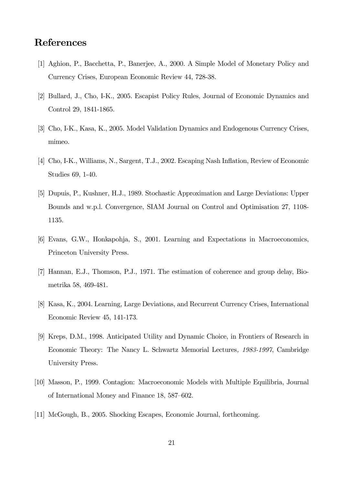# References

- [1] Aghion, P., Bacchetta, P., Banerjee, A., 2000. A Simple Model of Monetary Policy and Currency Crises, European Economic Review 44, 728-38.
- [2] Bullard, J., Cho, I-K., 2005. Escapist Policy Rules, Journal of Economic Dynamics and Control 29, 1841-1865.
- [3] Cho, I-K., Kasa, K., 2005. Model Validation Dynamics and Endogenous Currency Crises, mimeo.
- [4] Cho, I-K., Williams, N., Sargent, T.J., 2002. Escaping Nash Inflation, Review of Economic Studies 69, 1-40.
- [5] Dupuis, P., Kushner, H.J., 1989. Stochastic Approximation and Large Deviations: Upper Bounds and w.p.l. Convergence, SIAM Journal on Control and Optimisation 27, 1108- 1135.
- [6] Evans, G.W., Honkapohja, S., 2001. Learning and Expectations in Macroeconomics, Princeton University Press.
- [7] Hannan, E.J., Thomson, P.J., 1971. The estimation of coherence and group delay, Biometrika 58, 469-481.
- [8] Kasa, K., 2004. Learning, Large Deviations, and Recurrent Currency Crises, International Economic Review 45, 141-173.
- [9] Kreps, D.M., 1998. Anticipated Utility and Dynamic Choice, in Frontiers of Research in Economic Theory: The Nancy L. Schwartz Memorial Lectures, 1983-1997, Cambridge University Press.
- [10] Masson, P., 1999. Contagion: Macroeconomic Models with Multiple Equilibria, Journal of International Money and Finance 18, 587—602.
- [11] McGough, B., 2005. Shocking Escapes, Economic Journal, forthcoming.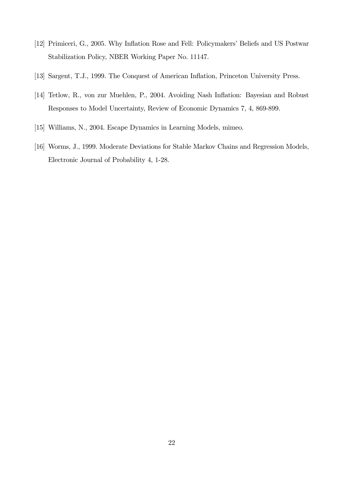- [12] Primiceri, G., 2005. Why Inflation Rose and Fell: Policymakers' Beliefs and US Postwar Stabilization Policy, NBER Working Paper No. 11147.
- [13] Sargent, T.J., 1999. The Conquest of American Inflation, Princeton University Press.
- [14] Tetlow, R., von zur Muehlen, P., 2004. Avoiding Nash Inflation: Bayesian and Robust Responses to Model Uncertainty, Review of Economic Dynamics 7, 4, 869-899.
- [15] Williams, N., 2004. Escape Dynamics in Learning Models, mimeo.
- [16] Worms, J., 1999. Moderate Deviations for Stable Markov Chains and Regression Models, Electronic Journal of Probability 4, 1-28.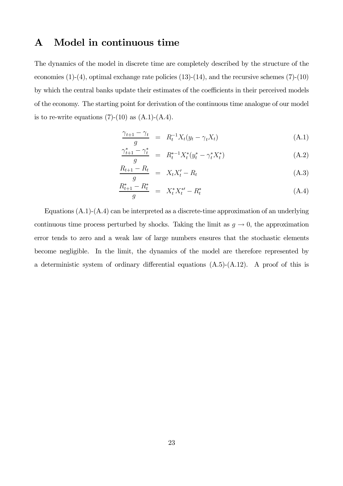# A Model in continuous time

The dynamics of the model in discrete time are completely described by the structure of the economies  $(1)-(4)$ , optimal exchange rate policies  $(13)-(14)$ , and the recursive schemes  $(7)-(10)$ by which the central banks update their estimates of the coefficients in their perceived models of the economy. The starting point for derivation of the continuous time analogue of our model is to re-write equations  $(7)-(10)$  as  $(A.1)-(A.4)$ .

$$
\frac{\gamma_{t+1} - \gamma_t}{g} = R_t^{-1} X_t (y_t - \gamma_t X_t)
$$
\n(A.1)

$$
\frac{\gamma_{t+1}^* - \gamma_t^*}{g} = R_t^{*-1} X_t^* (y_t^* - \gamma_t^* X_t^*)
$$
\n(A.2)

$$
\frac{R_{t+1} - R_t}{g} = X_t X_t' - R_t \tag{A.3}
$$

$$
\frac{R_{t+1}^* - R_t^*}{g} = X_t^* X_t^{*\prime} - R_t^* \tag{A.4}
$$

Equations (A.1)-(A.4) can be interpreted as a discrete-time approximation of an underlying continuous time process perturbed by shocks. Taking the limit as  $g \to 0$ , the approximation error tends to zero and a weak law of large numbers ensures that the stochastic elements become negligible. In the limit, the dynamics of the model are therefore represented by a deterministic system of ordinary differential equations (A.5)-(A.12). A proof of this is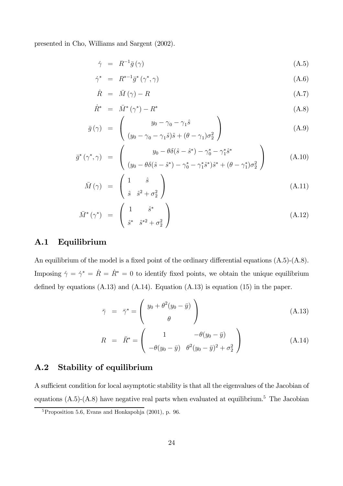presented in Cho, Williams and Sargent (2002).

$$
\dot{\gamma} = R^{-1}\bar{g}(\gamma) \tag{A.5}
$$

$$
\dot{\gamma}^* = R^{*-1} \bar{g}^* \left( \gamma^*, \gamma \right) \tag{A.6}
$$

$$
\dot{R} = \bar{M}(\gamma) - R \tag{A.7}
$$

$$
\dot{R}^* = \bar{M}^*(\gamma^*) - R^* \tag{A.8}
$$

$$
\bar{g}(\gamma) = \begin{pmatrix} y_0 - \gamma_0 - \gamma_1 \hat{s} \\ (y_0 - \gamma_0 - \gamma_1 \hat{s})\hat{s} + (\theta - \gamma_1)\sigma_2^2 \end{pmatrix}
$$
 (A.9)

$$
\bar{g}^*(\gamma^*, \gamma) = \begin{pmatrix} y_0 - \theta \delta(\hat{s} - \hat{s}^*) - \gamma_0^* - \gamma_1^* \hat{s}^* \\ (y_0 - \theta \delta(\hat{s} - \hat{s}^*) - \gamma_0^* - \gamma_1^* \hat{s}^*) \hat{s}^* + (\theta - \gamma_1^*) \sigma_2^2 \end{pmatrix}
$$
(A.10)

$$
\bar{M}(\gamma) = \begin{pmatrix} 1 & \hat{s} \\ \hat{s} & \hat{s}^2 + \sigma_2^2 \end{pmatrix}
$$
 (A.11)

$$
\bar{M}^*(\gamma^*) = \begin{pmatrix} 1 & \hat{s}^* \\ \hat{s}^* & \hat{s}^{*2} + \sigma_2^2 \end{pmatrix} \tag{A.12}
$$

#### A.1 Equilibrium

An equilibrium of the model is a fixed point of the ordinary differential equations (A.5)-(A.8). Imposing  $\dot{\gamma} = \dot{\gamma}^* = \dot{R} = \dot{R}^* = 0$  to identify fixed points, we obtain the unique equilibrium defined by equations  $(A.13)$  and  $(A.14)$ . Equation  $(A.13)$  is equation  $(15)$  in the paper.

$$
\bar{\gamma} = \bar{\gamma}^* = \begin{pmatrix} y_0 + \theta^2 (y_0 - \bar{y}) \\ \theta \end{pmatrix}
$$
 (A.13)

$$
R = \bar{R}^* = \begin{pmatrix} 1 & -\theta(y_0 - \bar{y}) \\ -\theta(y_0 - \bar{y}) & \theta^2(y_0 - \bar{y})^2 + \sigma_2^2 \end{pmatrix}
$$
 (A.14)

## A.2 Stability of equilibrium

A sufficient condition for local asymptotic stability is that all the eigenvalues of the Jacobian of equations  $(A.5)-(A.8)$  have negative real parts when evaluated at equilibrium.<sup>5</sup> The Jacobian

<sup>5</sup>Proposition 5.6, Evans and Honkapohja (2001), p. 96.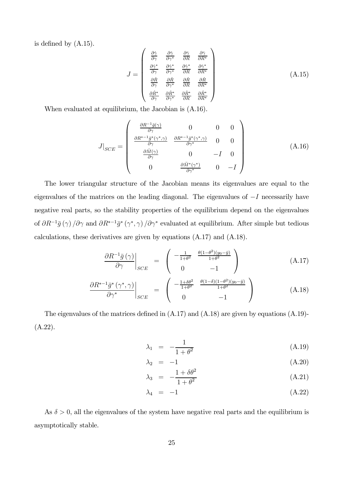is defined by (A.15).

$$
J = \begin{pmatrix} \frac{\partial \dot{\gamma}}{\partial \gamma} & \frac{\partial \dot{\gamma}}{\partial \gamma^*} & \frac{\partial \dot{\gamma}}{\partial R} & \frac{\partial \dot{\gamma}}{\partial R^*} \\ \frac{\partial \dot{\gamma}^*}{\partial \gamma} & \frac{\partial \dot{\gamma}^*}{\partial \gamma^*} & \frac{\partial \dot{\gamma}^*}{\partial R} & \frac{\partial \dot{\gamma}^*}{\partial R^*} \\ \frac{\partial \dot{R}}{\partial \gamma} & \frac{\partial \dot{R}}{\partial \gamma^*} & \frac{\partial \dot{R}}{\partial R} & \frac{\partial \dot{R}}{\partial R^*} \\ \frac{\partial \dot{R}^*}{\partial \gamma} & \frac{\partial \dot{R}^*}{\partial \gamma^*} & \frac{\partial \dot{R}^*}{\partial R} & \frac{\partial \dot{R}^*}{\partial R^*} \end{pmatrix}
$$
(A.15)

When evaluated at equilibrium, the Jacobian is (A.16).

$$
J|_{SCE} = \begin{pmatrix} \frac{\partial R^{-1}\bar{g}(\gamma)}{\partial \gamma} & 0 & 0 & 0\\ \frac{\partial R^{*-1}\bar{g}^*(\gamma^*,\gamma)}{\partial \gamma} & \frac{\partial R^{*-1}\bar{g}^*(\gamma^*,\gamma)}{\partial \gamma^*} & 0 & 0\\ \frac{\partial \bar{M}(\gamma)}{\partial \gamma} & 0 & -I & 0\\ 0 & \frac{\partial \bar{M}^*(\gamma^*)}{\partial \gamma^*} & 0 & -I \end{pmatrix}
$$
(A.16)

The lower triangular structure of the Jacobian means its eigenvalues are equal to the eigenvalues of the matrices on the leading diagonal. The eigenvalues of −I necessarily have negative real parts, so the stability properties of the equilibrium depend on the eigenvalues of  $\partial R^{-1}\bar{g}(\gamma) / \partial \gamma$  and  $\partial R^{*-1}\bar{g}^*(\gamma^*, \gamma) / \partial \gamma^*$  evaluated at equilibrium. After simple but tedious calculations, these derivatives are given by equations (A.17) and (A.18).

$$
\left. \frac{\partial R^{-1}\bar{g}\left(\gamma\right)}{\partial \gamma} \right|_{SCE} = \left( \begin{array}{cc} -\frac{1}{1+\theta^2} & \frac{\theta(1-\theta^2)(y_0-\bar{y})}{1+\theta^2} \\ 0 & -1 \end{array} \right) \tag{A.17}
$$

$$
\left. \frac{\partial R^{*-1} \bar{g}^* \left( \gamma^*, \gamma \right)}{\partial \gamma^*} \right|_{SCE} = \left( \begin{array}{cc} -\frac{1+\delta\theta^2}{1+\theta^2} & \frac{\theta(1-\delta)(1-\theta^2)(y_0-\bar{y})}{1+\theta^2} \\ 0 & -1 \end{array} \right) \tag{A.18}
$$

The eigenvalues of the matrices defined in (A.17) and (A.18) are given by equations (A.19)- (A.22).

$$
\lambda_1 = -\frac{1}{1 + \theta^2} \tag{A.19}
$$

$$
\lambda_2 = -1 \tag{A.20}
$$

$$
\lambda_3 = -\frac{1 + \delta \theta^2}{1 + \theta^2} \tag{A.21}
$$

$$
\lambda_4 = -1 \tag{A.22}
$$

As  $\delta > 0$ , all the eigenvalues of the system have negative real parts and the equilibrium is asymptotically stable.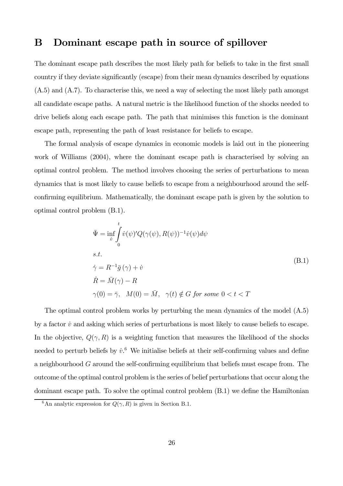# B Dominant escape path in source of spillover

The dominant escape path describes the most likely path for beliefs to take in the first small country if they deviate significantly (escape) from their mean dynamics described by equations (A.5) and (A.7). To characterise this, we need a way of selecting the most likely path amongst all candidate escape paths. A natural metric is the likelihood function of the shocks needed to drive beliefs along each escape path. The path that minimises this function is the dominant escape path, representing the path of least resistance for beliefs to escape.

The formal analysis of escape dynamics in economic models is laid out in the pioneering work of Williams (2004), where the dominant escape path is characterised by solving an optimal control problem. The method involves choosing the series of perturbations to mean dynamics that is most likely to cause beliefs to escape from a neighbourhood around the selfconfirming equilibrium. Mathematically, the dominant escape path is given by the solution to optimal control problem (B.1).

$$
\begin{aligned}\n\bar{\Psi} &= \inf_{\dot{v}} \int_{0}^{t} \dot{v}(\psi)' Q(\gamma(\psi), R(\psi))^{-1} \dot{v}(\psi) d\psi \\
\text{s.t.} \\
\dot{\gamma} &= R^{-1} \bar{g}(\gamma) + \dot{v} \\
\dot{R} &= \bar{M}(\gamma) - R \\
\gamma(0) &= \bar{\gamma}, \quad M(0) = \bar{M}, \quad \gamma(t) \notin G \text{ for some } 0 < t < T\n\end{aligned} \tag{B.1}
$$

The optimal control problem works by perturbing the mean dynamics of the model (A.5) by a factor  $\dot{v}$  and asking which series of perturbations is most likely to cause beliefs to escape. In the objective,  $Q(\gamma, R)$  is a weighting function that measures the likelihood of the shocks needed to perturb beliefs by  $\dot{v}$ .<sup>6</sup> We initialise beliefs at their self-confirming values and define a neighbourhood G around the self-confirming equilibrium that beliefs must escape from. The outcome of the optimal control problem is the series of belief perturbations that occur along the dominant escape path. To solve the optimal control problem (B.1) we define the Hamiltonian

<sup>&</sup>lt;sup>6</sup>An analytic expression for  $Q(\gamma, R)$  is given in Section B.1.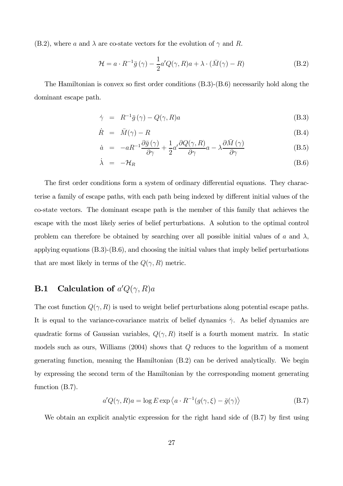(B.2), where a and  $\lambda$  are co-state vectors for the evolution of  $\gamma$  and R.

$$
\mathcal{H} = a \cdot R^{-1} \bar{g} \left( \gamma \right) - \frac{1}{2} a' Q(\gamma, R) a + \lambda \cdot (\bar{M}(\gamma) - R) \tag{B.2}
$$

The Hamiltonian is convex so first order conditions (B.3)-(B.6) necessarily hold along the dominant escape path.

$$
\dot{\gamma} = R^{-1}\bar{g}(\gamma) - Q(\gamma, R)a \tag{B.3}
$$

$$
\dot{R} = \bar{M}(\gamma) - R \tag{B.4}
$$

$$
\dot{a} = -aR^{-1}\frac{\partial \bar{g}(\gamma)}{\partial \gamma} + \frac{1}{2}a'\frac{\partial Q(\gamma, R)}{\partial \gamma}a - \lambda \frac{\partial \bar{M}(\gamma)}{\partial \gamma}
$$
(B.5)

$$
\dot{\lambda} = -\mathcal{H}_R \tag{B.6}
$$

The first order conditions form a system of ordinary differential equations. They characterise a family of escape paths, with each path being indexed by different initial values of the co-state vectors. The dominant escape path is the member of this family that achieves the escape with the most likely series of belief perturbations. A solution to the optimal control problem can therefore be obtained by searching over all possible initial values of a and  $\lambda$ , applying equations  $(B.3)-(B.6)$ , and choosing the initial values that imply belief perturbations that are most likely in terms of the  $Q(\gamma, R)$  metric.

## **B.1** Calculation of  $a'Q(\gamma,R)a$

The cost function  $Q(\gamma, R)$  is used to weight belief perturbations along potential escape paths. It is equal to the variance-covariance matrix of belief dynamics  $\dot{\gamma}$ . As belief dynamics are quadratic forms of Gaussian variables,  $Q(\gamma, R)$  itself is a fourth moment matrix. In static models such as ours, Williams  $(2004)$  shows that  $Q$  reduces to the logarithm of a moment generating function, meaning the Hamiltonian (B.2) can be derived analytically. We begin by expressing the second term of the Hamiltonian by the corresponding moment generating function (B.7).

$$
a'Q(\gamma, R)a = \log E \exp \langle a \cdot R^{-1}(g(\gamma, \xi) - \bar{g}(\gamma) \rangle \tag{B.7}
$$

We obtain an explicit analytic expression for the right hand side of  $(B.7)$  by first using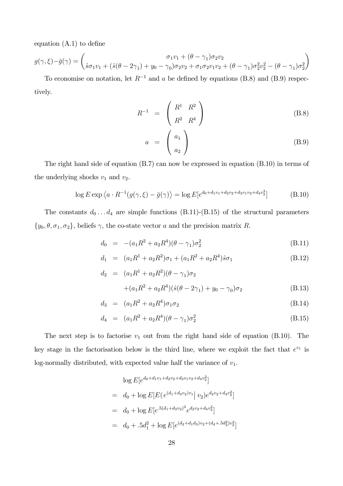equation (A.1) to define

$$
g(\gamma, \xi) - \bar{g}(\gamma) = \begin{pmatrix} \sigma_1 v_1 + (\theta - \gamma_1) \sigma_2 v_2 \\ \hat{s}\sigma_1 v_1 + (\hat{s}(\theta - 2\gamma_1) + y_0 - \gamma_0) \sigma_2 v_2 + \sigma_1 \sigma_2 v_1 v_2 + (\theta - \gamma_1) \sigma_2^2 v_2^2 - (\theta - \gamma_1) \sigma_2^2 \end{pmatrix}
$$

To economise on notation, let  $R^{-1}$  and a be defined by equations (B.8) and (B.9) respectively.

$$
R^{-1} = \begin{pmatrix} R^1 & R^2 \\ R^2 & R^4 \end{pmatrix} \tag{B.8}
$$

$$
a = \begin{pmatrix} a_1 \\ a_2 \end{pmatrix} \tag{B.9}
$$

The right hand side of equation (B.7) can now be expressed in equation (B.10) in terms of the underlying shocks  $v_1$  and  $v_2$ .

$$
\log E \exp \left\langle a \cdot R^{-1} (g(\gamma, \xi) - \bar{g}(\gamma)) \right\rangle = \log E \left[ e^{d_0 + d_1 v_1 + d_2 v_2 + d_3 v_1 v_2 + d_4 v_2^2} \right] \tag{B.10}
$$

The constants  $d_0 \ldots d_4$  are simple functions (B.11)-(B.15) of the structural parameters  $\{y_0, \theta, \sigma_1, \sigma_2\}$ , beliefs  $\gamma$ , the co-state vector a and the precision matrix R.

$$
d_0 = -(a_1 R^2 + a_2 R^4)(\theta - \gamma_1) \sigma_2^2
$$
 (B.11)

$$
d_1 = (a_1R^1 + a_2R^2)\sigma_1 + (a_1R^2 + a_2R^4)\hat{s}\sigma_1 \tag{B.12}
$$

$$
d_2 = (a_1 R^1 + a_2 R^2)(\theta - \gamma_1)\sigma_2
$$
  
 
$$
+ (a_1 R^2 + a_2 R^4)(\hat{s}(\theta - 2\gamma_1) + y_0 - \gamma_0)\sigma_2
$$
 (B.13)

$$
d_3 = (a_1 R^2 + a_2 R^4) \sigma_1 \sigma_2 \tag{B.14}
$$

$$
d_4 = (a_1 R^2 + a_2 R^4)(\theta - \gamma_1)\sigma_2^2
$$
 (B.15)

The next step is to factorise  $v_1$  out from the right hand side of equation (B.10). The key stage in the factorisation below is the third line, where we exploit the fact that  $e^{v_1}$  is log-normally distributed, with expected value half the variance of  $v_1$ .

$$
\log E[e^{d_0 + d_1 v_1 + d_2 v_2 + d_3 v_1 v_2 + d_4 v_2^2}]
$$
\n
$$
= d_0 + \log E[E(e^{(d_1 + d_3 v_2)v_1} | v_2)e^{d_2 v_2 + d_4 v_2^2}]
$$
\n
$$
= d_0 + \log E[e^{.5(d_1 + d_3 v_2)^2} e^{d_2 v_2 + d_4 v_2^2}]
$$
\n
$$
= d_0 + .5d_1^2 + \log E[e^{(d_2 + d_1 d_3)v_2 + (d_4 + .5d_3^2)v_2^2}]
$$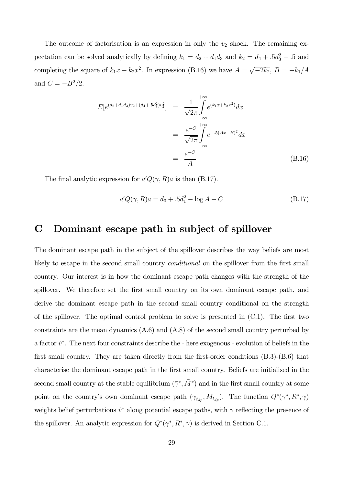The outcome of factorisation is an expression in only the  $v_2$  shock. The remaining expectation can be solved analytically by defining  $k_1 = d_2 + d_1 d_3$  and  $k_2 = d_4 + 0.5d_3^2 - 0.5$  and completing the square of  $k_1x + k_2x^2$ . In expression (B.16) we have  $A = \sqrt{-2k_2}$ ,  $B = -k_1/A$ and  $C = -B^2/2$ .

$$
E[e^{(d_2+d_1d_3)v_2 + (d_4 + .5d_3^2)v_2^2}] = \frac{1}{\sqrt{2\pi}} \int_{-\infty}^{+\infty} e^{(k_1x + k_2x^2)} dx
$$
  

$$
= \frac{e^{-C}}{\sqrt{2\pi}} \int_{-\infty}^{+\infty} e^{-.5(Ax+B)^2} dx
$$
  

$$
= \frac{e^{-C}}{A}
$$
(B.16)

The final analytic expression for  $a'Q(\gamma,R)a$  is then (B.17).

$$
a'Q(\gamma, R)a = d_0 + .5d_1^2 - \log A - C
$$
 (B.17)

## C Dominant escape path in subject of spillover

The dominant escape path in the subject of the spillover describes the way beliefs are most likely to escape in the second small country *conditional* on the spillover from the first small country. Our interest is in how the dominant escape path changes with the strength of the spillover. We therefore set the first small country on its own dominant escape path, and derive the dominant escape path in the second small country conditional on the strength of the spillover. The optimal control problem to solve is presented in (C.1). The first two constraints are the mean dynamics (A.6) and (A.8) of the second small country perturbed by a factor  $\dot{v}^*$ . The next four constraints describe the - here exogenous - evolution of beliefs in the first small country. They are taken directly from the first-order conditions (B.3)-(B.6) that characterise the dominant escape path in the first small country. Beliefs are initialised in the second small country at the stable equilibrium  $(\bar{\gamma}^*, \bar{M}^*)$  and in the first small country at some point on the country's own dominant escape path  $(\gamma_{t_{dp}}, M_{t_{dp}})$ . The function  $Q^*(\gamma^*, R^*, \gamma)$ weights belief perturbations  $\dot{v}^*$  along potential escape paths, with  $\gamma$  reflecting the presence of the spillover. An analytic expression for  $Q^*(\gamma^*, R^*, \gamma)$  is derived in Section C.1.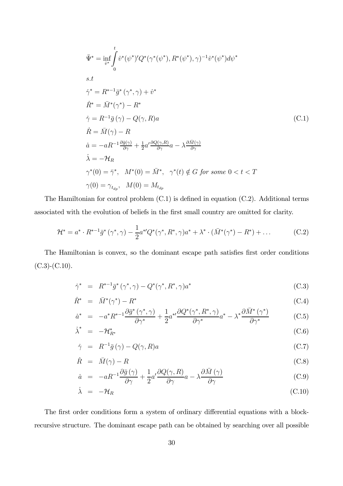$$
\bar{\Psi}^* = \inf_{\dot{v}^*} \int_0^t \dot{v}^*(\psi^*)'Q^*(\gamma^*(\psi^*), R^*(\psi^*), \gamma)^{-1} \dot{v}^*(\psi^*) d\psi^*
$$
\ns.t\n
$$
\dot{\gamma}^* = R^{*-1} \bar{g}^*(\gamma^*, \gamma) + \dot{v}^*
$$
\n
$$
\dot{R}^* = \bar{M}^*(\gamma^*) - R^*
$$
\n
$$
\dot{\gamma} = R^{-1} \bar{g}(\gamma) - Q(\gamma, R)a
$$
\n
$$
\dot{R} = \bar{M}(\gamma) - R
$$
\n
$$
\dot{a} = -aR^{-1} \frac{\partial \bar{g}(\gamma)}{\partial \gamma} + \frac{1}{2} a' \frac{\partial Q(\gamma, R)}{\partial \gamma} a - \lambda \frac{\partial \bar{M}(\gamma)}{\partial \gamma}
$$
\n
$$
\dot{\lambda} = -\mathcal{H}_R
$$
\n
$$
\gamma^*(0) = \bar{\gamma}^*, \quad M^*(0) = \bar{M}^*, \quad \gamma^*(t) \notin G \text{ for some } 0 < t < T
$$
\n
$$
\gamma(0) = \gamma_{t_{dp}}, \quad M(0) = M_{t_{dp}}
$$

The Hamiltonian for control problem (C.1) is defined in equation (C.2). Additional terms associated with the evolution of beliefs in the first small country are omitted for clarity.

$$
\mathcal{H}^* = a^* \cdot R^{*-1} \bar{g}^* \left( \gamma^*, \gamma \right) - \frac{1}{2} a^{*'} Q^* \left( \gamma^*, R^*, \gamma \right) a^* + \lambda^* \cdot (\bar{M}^* \left( \gamma^* \right) - R^*) + \dots \tag{C.2}
$$

The Hamiltonian is convex, so the dominant escape path satisfies first order conditions  $(C.3)-(C.10).$ 

$$
\dot{\gamma}^* = R^{*-1}\bar{g}^*(\gamma^*, \gamma) - Q^*(\gamma^*, R^*, \gamma)a^*
$$
\n(C.3)

$$
\dot{R}^* = \bar{M}^*(\gamma^*) - R^* \tag{C.4}
$$

$$
\dot{a}^* = -a^* R^{*-1} \frac{\partial \bar{g}^* \left( \gamma^*, \gamma \right)}{\partial \gamma^*} + \frac{1}{2} a^{*} \frac{\partial Q^* \left( \gamma^*, R^*, \gamma \right)}{\partial \gamma^*} a^* - \lambda^* \frac{\partial \bar{M}^* \left( \gamma^* \right)}{\partial \gamma^*} \tag{C.5}
$$

$$
\dot{\lambda}^* = -\mathcal{H}_{R^*}^* \tag{C.6}
$$

$$
\dot{\gamma} = R^{-1}\bar{g}(\gamma) - Q(\gamma, R)a \tag{C.7}
$$

$$
\dot{R} = \bar{M}(\gamma) - R \tag{C.8}
$$

$$
\dot{a} = -aR^{-1}\frac{\partial \bar{g}(\gamma)}{\partial \gamma} + \frac{1}{2}a'\frac{\partial Q(\gamma, R)}{\partial \gamma}a - \lambda \frac{\partial \bar{M}(\gamma)}{\partial \gamma}
$$
(C.9)

$$
\dot{\lambda} = -\mathcal{H}_R \tag{C.10}
$$

The first order conditions form a system of ordinary differential equations with a blockrecursive structure. The dominant escape path can be obtained by searching over all possible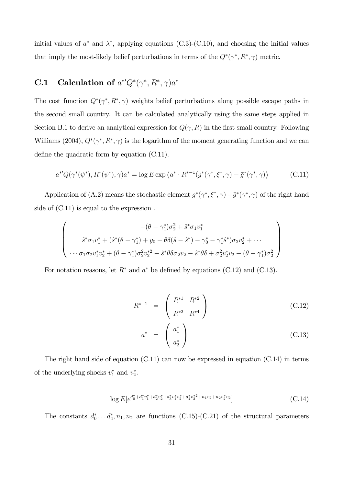initial values of  $a^*$  and  $\lambda^*$ , applying equations (C.3)-(C.10), and choosing the initial values that imply the most-likely belief perturbations in terms of the  $Q^*(\gamma^*, R^*, \gamma)$  metric.

## **C.1** Calculation of  $a^{*'}Q^*(\gamma^*, R^*, \gamma)a^*$

The cost function  $Q^*(\gamma^*, R^*, \gamma)$  weights belief perturbations along possible escape paths in the second small country. It can be calculated analytically using the same steps applied in Section B.1 to derive an analytical expression for  $Q(\gamma, R)$  in the first small country. Following Williams (2004),  $Q^*(\gamma^*, R^*, \gamma)$  is the logarithm of the moment generating function and we can define the quadratic form by equation (C.11).

$$
a^{*'}Q(\gamma^*(\psi^*), R^*(\psi^*), \gamma)a^* = \log E \exp\left\langle a^* \cdot R^{*-1}(g^*(\gamma^*, \xi^*, \gamma) - \bar{g}^*(\gamma^*, \gamma)\right\rangle
$$
(C.11)

Application of (A.2) means the stochastic element  $g^*(\gamma^*, \xi^*, \gamma) - \bar{g}^*(\gamma^*, \gamma)$  of the right hand side of (C.11) is equal to the expression .

$$
\begin{pmatrix}\n-(\theta - \gamma_1^*)\sigma_2^2 + \hat{s}^*\sigma_1 v_1^* \\
\hat{s}^*\sigma_1 v_1^* + (\hat{s}^*(\theta - \gamma_1^*) + y_0 - \theta\delta(\hat{s} - \hat{s}^*) - \gamma_0^* - \gamma_1^*\hat{s}^*)\sigma_2 v_2^* + \cdots \\
\cdots \sigma_1 \sigma_2 v_1^* v_2^* + (\theta - \gamma_1^*)\sigma_2^2 v_2^{*2} - \hat{s}^*\theta \delta \sigma_2 v_2 - \hat{s}^*\theta \delta + \sigma_2^2 v_2^* v_2 - (\theta - \gamma_1^*)\sigma_2^2\n\end{pmatrix}
$$

For notation reasons, let  $R^*$  and  $a^*$  be defined by equations (C.12) and (C.13).

$$
R^{*-1} = \begin{pmatrix} R^{*1} & R^{*2} \\ R^{*2} & R^{*4} \end{pmatrix}
$$
 (C.12)

$$
a^* = \begin{pmatrix} a_1^* \\ a_2^* \end{pmatrix} \tag{C.13}
$$

The right hand side of equation (C.11) can now be expressed in equation (C.14) in terms of the underlying shocks  $v_1^*$  and  $v_2^*$ .

$$
\log E[e^{d_0^* + d_1^* v_1^* + d_2^* v_2^* + d_3^* v_1^* v_2^* + d_4^* v_2^*^2 + n_1 v_2 + n_2 v_2^* v_2}] \tag{C.14}
$$

The constants  $d_0^* \dots d_4^*$ ,  $n_1, n_2$  are functions (C.15)-(C.21) of the structural parameters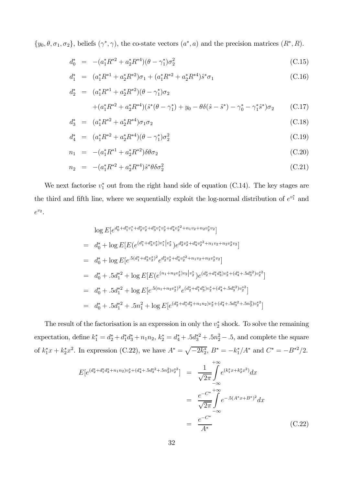$\{y_0, \theta, \sigma_1, \sigma_2\}$ , beliefs  $(\gamma^*, \gamma)$ , the co-state vectors  $(a^*, a)$  and the precision matrices  $(R^*, R)$ .

$$
d_0^* = - (a_1^* R^{*2} + a_2^* R^{*4}) (\theta - \gamma_1^*) \sigma_2^2
$$
\n(C.15)

$$
d_1^* = (a_1^* R^{*1} + a_2^* R^{*2}) \sigma_1 + (a_1^* R^{*2} + a_2^* R^{*4}) \hat{s}^* \sigma_1
$$
\n(C.16)

$$
d_2^* = (a_1^* R^{*1} + a_2^* R^{*2}) (\theta - \gamma_1^*) \sigma_2 + (a_1^* R^{*2} + a_2^* R^{*4}) (\hat{s}^* (\theta - \gamma_1^*) + y_0 - \theta \delta(\hat{s} - \hat{s}^*) - \gamma_0^* - \gamma_1^* \hat{s}^*) \sigma_2
$$
 (C.17)

$$
d_3^* = (a_1^* R^{*2} + a_2^* R^{*4}) \sigma_1 \sigma_2 \tag{C.18}
$$

$$
d_4^* = (a_1^* R^{*2} + a_2^* R^{*4}) (\theta - \gamma_1^*) \sigma_2^2
$$
\n(C.19)

$$
n_1 = -(a_1^* R^{*1} + a_2^* R^{*2}) \delta \theta \sigma_2 \tag{C.20}
$$

$$
n_2 = -(a_1^* R^{*2} + a_2^* R^{*4}) \hat{s}^* \theta \delta \sigma_2^2 \tag{C.21}
$$

We next factorise  $v_1^*$  out from the right hand side of equation (C.14). The key stages are the third and fifth line, where we sequentially exploit the log-normal distribution of  $e^{v_1^*}$  and  $e^{v_2}$ .

$$
\log E[e^{d_0^* + d_1^* v_1^* + d_2^* v_2^* + d_3^* v_1^* v_2^* + d_4^* v_2^*^2 + n_1 v_2 + n_2 v_2^* v_2}]
$$
\n
$$
= d_0^* + \log E[E(e^{(d_1^* + d_3^* v_2^*) v_1^* | v_2^*}) e^{d_2^* v_2^* + d_4^* v_2^*^2 + n_1 v_2 + n_2 v_2^* v_2}]
$$
\n
$$
= d_0^* + \log E[e^{.5(d_1^* + d_3^* v_2^*)^2} e^{d_2^* v_2^* + d_4^* v_2^*^2 + n_1 v_2 + n_2 v_2^* v_2}]
$$
\n
$$
= d_0^* + .5d_1^*^2 + \log E[E(e^{(n_1 + n_2 v_2^*) v_2 | v_2^*}) e^{(d_2^* + d_1^* d_3^*) v_2^* + (d_4^* + .5d_3^*^2) v_2^*^2}]
$$
\n
$$
= d_0^* + .5d_1^*^2 + \log E[e^{.5(n_1 + n_2 v_2^*)^2} e^{(d_2^* + d_1^* d_3^*) v_2^* + (d_4^* + .5d_3^*^2) v_2^*^2}]
$$
\n
$$
= d_0^* + .5d_1^*^2 + .5n_1^2 + \log E[e^{(d_2^* + d_1^* d_3^* + n_1 n_2)v_2^* + (d_4^* + .5d_3^*^2 + .5n_2^2)v_2^*^2}]
$$

The result of the factorisation is an expression in only the  $v_2^*$  shock. To solve the remaining expectation, define  $k_1^* = d_2^* + d_1^* d_3^* + n_1 n_2$ ,  $k_2^* = d_4^* + 0.5d_3^* + 0.5n_2^2 - 0.5$ , and complete the square of  $k_1^*x + k_2^*x^2$ . In expression (C.22), we have  $A^* = \sqrt{-2k_2^*}$ ,  $B^* = -k_1^*/A^*$  and  $C^* = -B^{*2}/2$ .

$$
E[e^{(d_2^* + d_1^* d_3^* + n_1 n_2)v_2^* + (d_4^* + 5d_3^* + 5n_2^2)v_2^*}] = \frac{1}{\sqrt{2\pi}} \int_{-\infty}^{+\infty} e^{(k_1^* x + k_2^* x^2)} dx
$$
  

$$
= \frac{e^{-C^*}}{\sqrt{2\pi}} \int_{-\infty}^{+\infty} e^{-0.5(A^* x + B^*)^2} dx
$$
  

$$
= \frac{e^{-C^*}}{A^*}
$$
(C.22)